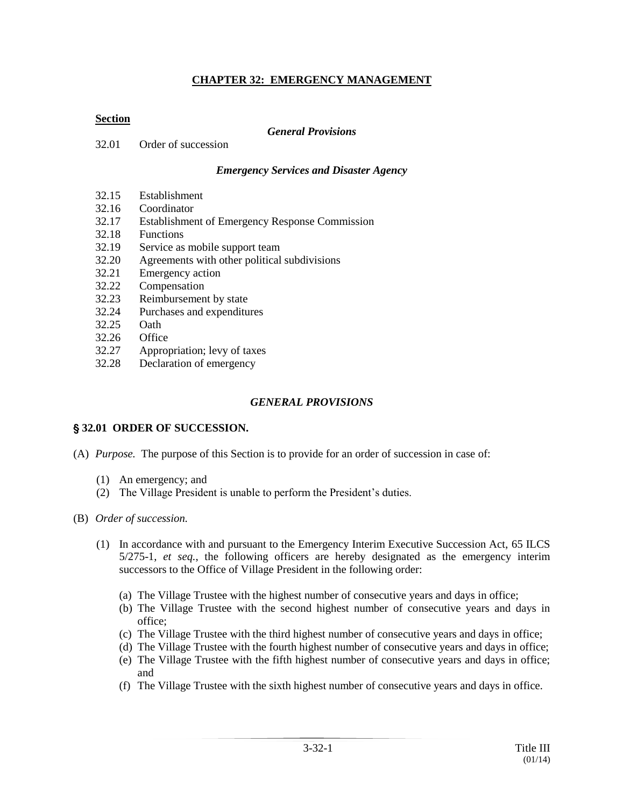#### **CHAPTER 32: EMERGENCY MANAGEMENT**

#### **Section**

#### *General Provisions*

32.01 Order of succession

#### *Emergency Services and Disaster Agency*

- 32.15 Establishment
- 32.16 Coordinator
- 32.17 Establishment of Emergency Response Commission
- 32.18 Functions
- 32.19 Service as mobile support team
- 32.20 Agreements with other political subdivisions
- 32.21 Emergency action<br>32.22 Compensation
- **Compensation**
- 32.23 Reimbursement by state
- 32.24 Purchases and expenditures
- 32.25 Oath
- 32.26 Office
- 32.27 Appropriation; levy of taxes
- 32.28 Declaration of emergency

#### *GENERAL PROVISIONS*

#### ' **32.01 ORDER OF SUCCESSION.**

- (A) *Purpose.* The purpose of this Section is to provide for an order of succession in case of:
	- (1) An emergency; and
	- (2) The Village President is unable to perform the President's duties.
- (B) *Order of succession.*
	- (1) In accordance with and pursuant to the Emergency Interim Executive Succession Act, 65 ILCS 5/275-1, *et seq.*, the following officers are hereby designated as the emergency interim successors to the Office of Village President in the following order:
		- (a) The Village Trustee with the highest number of consecutive years and days in office;
		- (b) The Village Trustee with the second highest number of consecutive years and days in office;
		- (c) The Village Trustee with the third highest number of consecutive years and days in office;
		- (d) The Village Trustee with the fourth highest number of consecutive years and days in office;
		- (e) The Village Trustee with the fifth highest number of consecutive years and days in office; and
		- (f) The Village Trustee with the sixth highest number of consecutive years and days in office.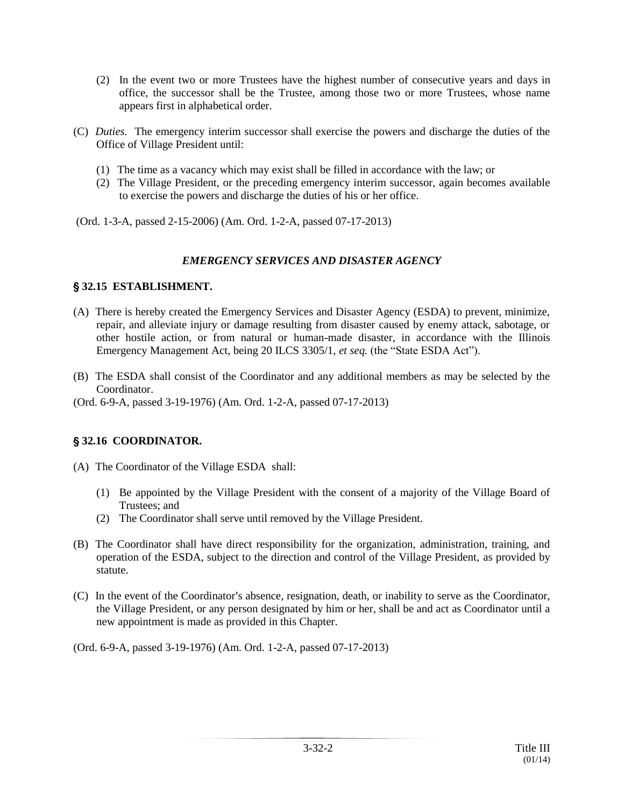- (2) In the event two or more Trustees have the highest number of consecutive years and days in office, the successor shall be the Trustee, among those two or more Trustees, whose name appears first in alphabetical order.
- (C) *Duties.* The emergency interim successor shall exercise the powers and discharge the duties of the Office of Village President until:
	- (1) The time as a vacancy which may exist shall be filled in accordance with the law; or
	- (2) The Village President, or the preceding emergency interim successor, again becomes available to exercise the powers and discharge the duties of his or her office.

(Ord. 1-3-A, passed 2-15-2006) (Am. Ord. 1-2-A, passed 07-17-2013)

#### *EMERGENCY SERVICES AND DISASTER AGENCY*

#### ' **32.15 ESTABLISHMENT.**

- (A) There is hereby created the Emergency Services and Disaster Agency (ESDA) to prevent, minimize, repair, and alleviate injury or damage resulting from disaster caused by enemy attack, sabotage, or other hostile action, or from natural or human-made disaster, in accordance with the Illinois Emergency Management Act, being 20 ILCS 3305/1, *et seq.* (the "State ESDA Act").
- (B) The ESDA shall consist of the Coordinator and any additional members as may be selected by the Coordinator.

(Ord. 6-9-A, passed 3-19-1976) (Am. Ord. 1-2-A, passed 07-17-2013)

## ' **32.16 COORDINATOR.**

(A) The Coordinator of the Village ESDA shall:

- (1) Be appointed by the Village President with the consent of a majority of the Village Board of Trustees; and
- (2) The Coordinator shall serve until removed by the Village President.
- (B) The Coordinator shall have direct responsibility for the organization, administration, training, and operation of the ESDA, subject to the direction and control of the Village President, as provided by statute.
- (C) In the event of the Coordinator's absence, resignation, death, or inability to serve as the Coordinator, the Village President, or any person designated by him or her, shall be and act as Coordinator until a new appointment is made as provided in this Chapter.

(Ord. 6-9-A, passed 3-19-1976) (Am. Ord. 1-2-A, passed 07-17-2013)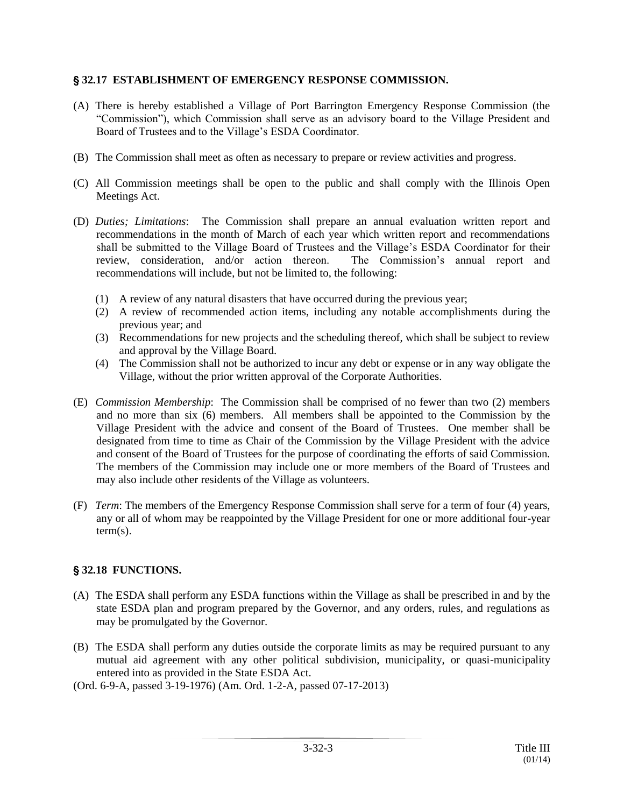#### ' **32.17 ESTABLISHMENT OF EMERGENCY RESPONSE COMMISSION.**

- (A) There is hereby established a Village of Port Barrington Emergency Response Commission (the "Commission"), which Commission shall serve as an advisory board to the Village President and Board of Trustees and to the Village's ESDA Coordinator.
- (B) The Commission shall meet as often as necessary to prepare or review activities and progress.
- (C) All Commission meetings shall be open to the public and shall comply with the Illinois Open Meetings Act.
- (D) *Duties; Limitations*: The Commission shall prepare an annual evaluation written report and recommendations in the month of March of each year which written report and recommendations shall be submitted to the Village Board of Trustees and the Village's ESDA Coordinator for their review, consideration, and/or action thereon. The Commission's annual report and recommendations will include, but not be limited to, the following:
	- (1) A review of any natural disasters that have occurred during the previous year;
	- (2) A review of recommended action items, including any notable accomplishments during the previous year; and
	- (3) Recommendations for new projects and the scheduling thereof, which shall be subject to review and approval by the Village Board.
	- (4) The Commission shall not be authorized to incur any debt or expense or in any way obligate the Village, without the prior written approval of the Corporate Authorities.
- (E) *Commission Membership*: The Commission shall be comprised of no fewer than two (2) members and no more than six (6) members. All members shall be appointed to the Commission by the Village President with the advice and consent of the Board of Trustees. One member shall be designated from time to time as Chair of the Commission by the Village President with the advice and consent of the Board of Trustees for the purpose of coordinating the efforts of said Commission. The members of the Commission may include one or more members of the Board of Trustees and may also include other residents of the Village as volunteers.
- (F) *Term*: The members of the Emergency Response Commission shall serve for a term of four (4) years, any or all of whom may be reappointed by the Village President for one or more additional four-year term(s).

## ' **32.18 FUNCTIONS.**

- (A) The ESDA shall perform any ESDA functions within the Village as shall be prescribed in and by the state ESDA plan and program prepared by the Governor, and any orders, rules, and regulations as may be promulgated by the Governor.
- (B) The ESDA shall perform any duties outside the corporate limits as may be required pursuant to any mutual aid agreement with any other political subdivision, municipality, or quasi-municipality entered into as provided in the State ESDA Act.
- (Ord. 6-9-A, passed 3-19-1976) (Am. Ord. 1-2-A, passed 07-17-2013)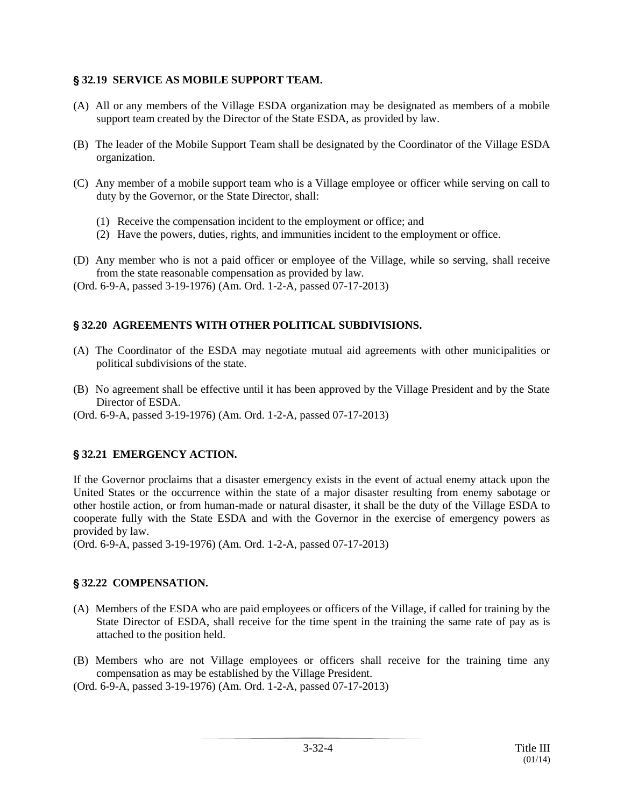#### ' **32.19 SERVICE AS MOBILE SUPPORT TEAM.**

- (A) All or any members of the Village ESDA organization may be designated as members of a mobile support team created by the Director of the State ESDA, as provided by law.
- (B) The leader of the Mobile Support Team shall be designated by the Coordinator of the Village ESDA organization.
- (C) Any member of a mobile support team who is a Village employee or officer while serving on call to duty by the Governor, or the State Director, shall:
	- (1) Receive the compensation incident to the employment or office; and
	- (2) Have the powers, duties, rights, and immunities incident to the employment or office.
- (D) Any member who is not a paid officer or employee of the Village, while so serving, shall receive from the state reasonable compensation as provided by law.
- (Ord. 6-9-A, passed 3-19-1976) (Am. Ord. 1-2-A, passed 07-17-2013)

## ' **32.20 AGREEMENTS WITH OTHER POLITICAL SUBDIVISIONS.**

- (A) The Coordinator of the ESDA may negotiate mutual aid agreements with other municipalities or political subdivisions of the state.
- (B) No agreement shall be effective until it has been approved by the Village President and by the State Director of ESDA.
- (Ord. 6-9-A, passed 3-19-1976) (Am. Ord. 1-2-A, passed 07-17-2013)

## ' **32.21 EMERGENCY ACTION.**

If the Governor proclaims that a disaster emergency exists in the event of actual enemy attack upon the United States or the occurrence within the state of a major disaster resulting from enemy sabotage or other hostile action, or from human-made or natural disaster, it shall be the duty of the Village ESDA to cooperate fully with the State ESDA and with the Governor in the exercise of emergency powers as provided by law.

(Ord. 6-9-A, passed 3-19-1976) (Am. Ord. 1-2-A, passed 07-17-2013)

## ' **32.22 COMPENSATION.**

- (A) Members of the ESDA who are paid employees or officers of the Village, if called for training by the State Director of ESDA, shall receive for the time spent in the training the same rate of pay as is attached to the position held.
- (B) Members who are not Village employees or officers shall receive for the training time any compensation as may be established by the Village President.
- (Ord. 6-9-A, passed 3-19-1976) (Am. Ord. 1-2-A, passed 07-17-2013)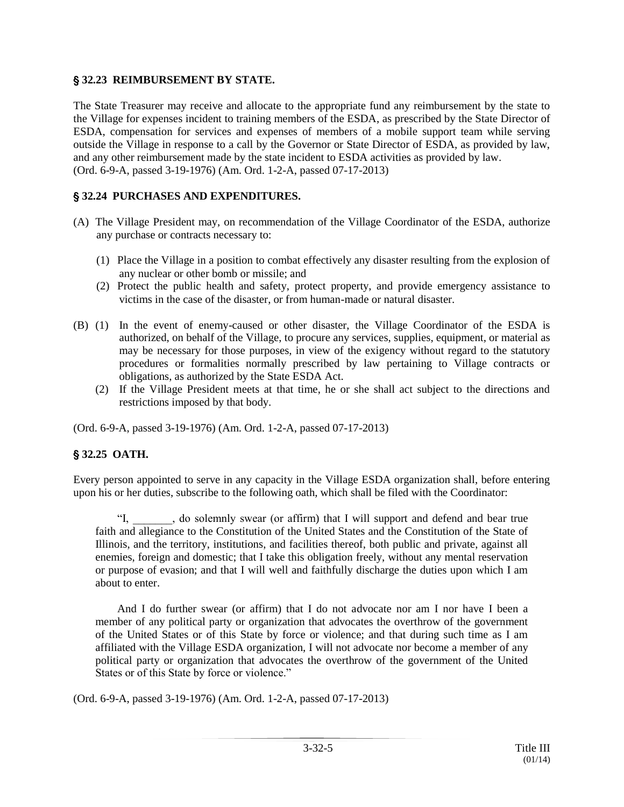#### ' **32.23 REIMBURSEMENT BY STATE.**

The State Treasurer may receive and allocate to the appropriate fund any reimbursement by the state to the Village for expenses incident to training members of the ESDA, as prescribed by the State Director of ESDA, compensation for services and expenses of members of a mobile support team while serving outside the Village in response to a call by the Governor or State Director of ESDA, as provided by law, and any other reimbursement made by the state incident to ESDA activities as provided by law. (Ord. 6-9-A, passed 3-19-1976) (Am. Ord. 1-2-A, passed 07-17-2013)

# ' **32.24 PURCHASES AND EXPENDITURES.**

- (A) The Village President may, on recommendation of the Village Coordinator of the ESDA, authorize any purchase or contracts necessary to:
	- (1) Place the Village in a position to combat effectively any disaster resulting from the explosion of any nuclear or other bomb or missile; and
	- (2) Protect the public health and safety, protect property, and provide emergency assistance to victims in the case of the disaster, or from human-made or natural disaster.
- (B) (1) In the event of enemy-caused or other disaster, the Village Coordinator of the ESDA is authorized, on behalf of the Village, to procure any services, supplies, equipment, or material as may be necessary for those purposes, in view of the exigency without regard to the statutory procedures or formalities normally prescribed by law pertaining to Village contracts or obligations, as authorized by the State ESDA Act.
	- (2) If the Village President meets at that time, he or she shall act subject to the directions and restrictions imposed by that body.

(Ord. 6-9-A, passed 3-19-1976) (Am. Ord. 1-2-A, passed 07-17-2013)

## ' **32.25 OATH.**

Every person appointed to serve in any capacity in the Village ESDA organization shall, before entering upon his or her duties, subscribe to the following oath, which shall be filed with the Coordinator:

"I, \_\_\_\_\_\_\_, do solemnly swear (or affirm) that I will support and defend and bear true faith and allegiance to the Constitution of the United States and the Constitution of the State of Illinois, and the territory, institutions, and facilities thereof, both public and private, against all enemies, foreign and domestic; that I take this obligation freely, without any mental reservation or purpose of evasion; and that I will well and faithfully discharge the duties upon which I am about to enter.

And I do further swear (or affirm) that I do not advocate nor am I nor have I been a member of any political party or organization that advocates the overthrow of the government of the United States or of this State by force or violence; and that during such time as I am affiliated with the Village ESDA organization, I will not advocate nor become a member of any political party or organization that advocates the overthrow of the government of the United States or of this State by force or violence."

(Ord. 6-9-A, passed 3-19-1976) (Am. Ord. 1-2-A, passed 07-17-2013)